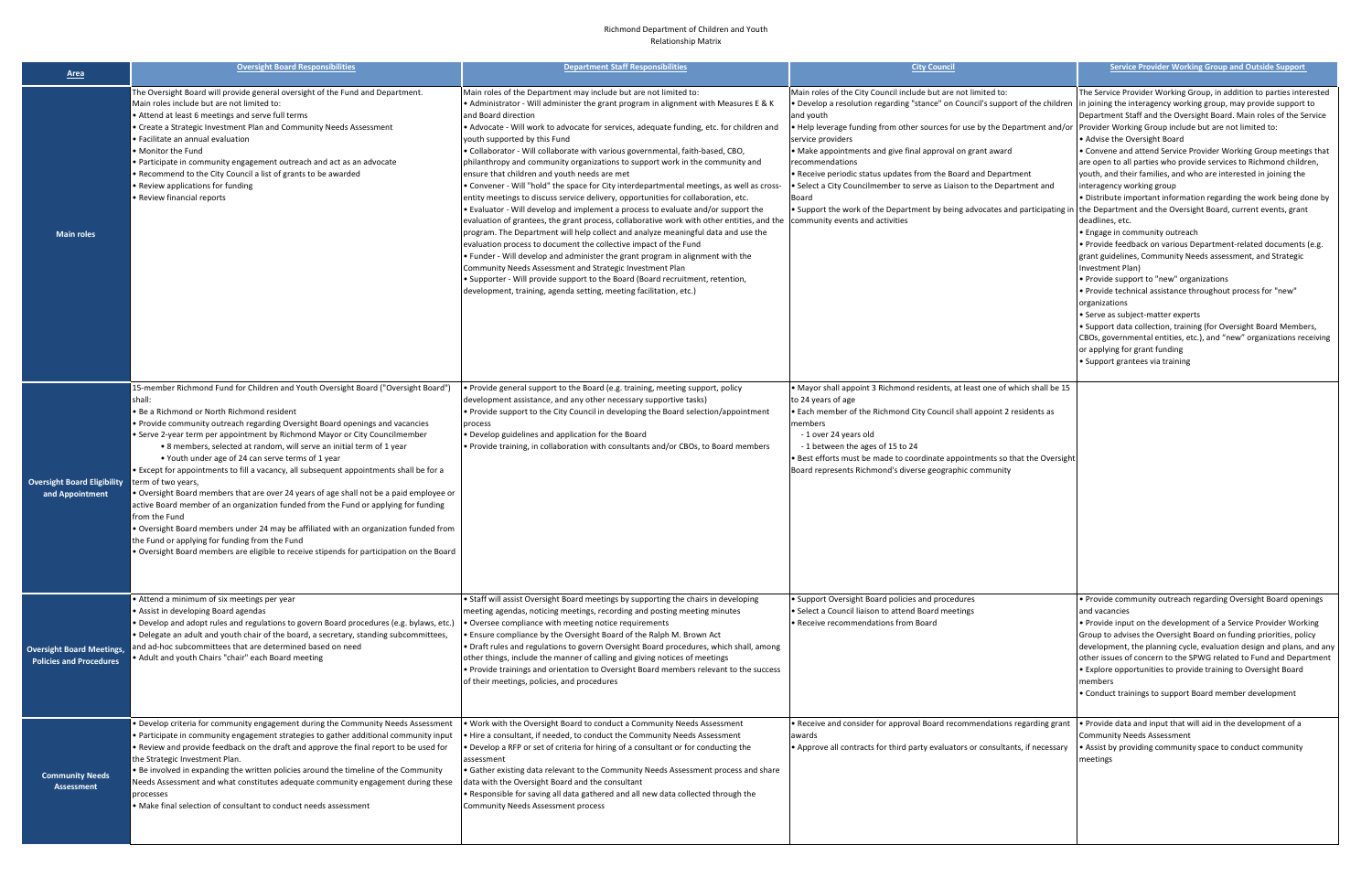## Richmond Department of Children and Youth Relationship Matrix

| <b>Area</b>                                                        | <b>Oversight Board Responsibilities</b>                                                                                                                                                                                                                                                                                                                                                                                                                                                                                                                                                                                                                                                                                                                                                                                                                                                                                                                                                | <b>Department Staff Responsibilities</b>                                                                                                                                                                                                                                                                                                                                                                                                                                                                                                                                                                                                                                                                                                                                                                                                                                                                                                                                                                                                                                                                                                                                                                                                                                                                                                                            | <b>City Council</b>                                                                                                                                                                                                                                                                                                                                                                                                                                                                                                                                                                                                                                                                            | <b>Service Provider Working Group and Outside Support</b>                                                                                                                                                                                                                                                                                                                                                                                                                                                                                                                                                                                                                                                                                                                                                                                                                                                                                                                                                                                                                                                                                                                                                                 |
|--------------------------------------------------------------------|----------------------------------------------------------------------------------------------------------------------------------------------------------------------------------------------------------------------------------------------------------------------------------------------------------------------------------------------------------------------------------------------------------------------------------------------------------------------------------------------------------------------------------------------------------------------------------------------------------------------------------------------------------------------------------------------------------------------------------------------------------------------------------------------------------------------------------------------------------------------------------------------------------------------------------------------------------------------------------------|---------------------------------------------------------------------------------------------------------------------------------------------------------------------------------------------------------------------------------------------------------------------------------------------------------------------------------------------------------------------------------------------------------------------------------------------------------------------------------------------------------------------------------------------------------------------------------------------------------------------------------------------------------------------------------------------------------------------------------------------------------------------------------------------------------------------------------------------------------------------------------------------------------------------------------------------------------------------------------------------------------------------------------------------------------------------------------------------------------------------------------------------------------------------------------------------------------------------------------------------------------------------------------------------------------------------------------------------------------------------|------------------------------------------------------------------------------------------------------------------------------------------------------------------------------------------------------------------------------------------------------------------------------------------------------------------------------------------------------------------------------------------------------------------------------------------------------------------------------------------------------------------------------------------------------------------------------------------------------------------------------------------------------------------------------------------------|---------------------------------------------------------------------------------------------------------------------------------------------------------------------------------------------------------------------------------------------------------------------------------------------------------------------------------------------------------------------------------------------------------------------------------------------------------------------------------------------------------------------------------------------------------------------------------------------------------------------------------------------------------------------------------------------------------------------------------------------------------------------------------------------------------------------------------------------------------------------------------------------------------------------------------------------------------------------------------------------------------------------------------------------------------------------------------------------------------------------------------------------------------------------------------------------------------------------------|
| <b>Main roles</b>                                                  | The Oversight Board will provide general oversight of the Fund and Department.<br>Main roles include but are not limited to:<br>Attend at least 6 meetings and serve full terms<br>Create a Strategic Investment Plan and Community Needs Assessment<br>Facilitate an annual evaluation<br>Monitor the Fund<br>Participate in community engagement outreach and act as an advocate<br>Recommend to the City Council a list of grants to be awarded<br>Review applications for funding<br>Review financial reports                                                                                                                                                                                                                                                                                                                                                                                                                                                                      | Main roles of the Department may include but are not limited to:<br>• Administrator - Will administer the grant program in alignment with Measures E & K<br>and Board direction<br>• Advocate - Will work to advocate for services, adequate funding, etc. for children and<br>youth supported by this Fund<br>. Collaborator - Will collaborate with various governmental, faith-based, CBO,<br>philanthropy and community organizations to support work in the community and<br>ensure that children and youth needs are met<br>• Convener - Will "hold" the space for City interdepartmental meetings, as well as cross-<br>entity meetings to discuss service delivery, opportunities for collaboration, etc.<br>. Evaluator - Will develop and implement a process to evaluate and/or support the<br>evaluation of grantees, the grant process, collaborative work with other entities, and the<br>program. The Department will help collect and analyze meaningful data and use the<br>evaluation process to document the collective impact of the Fund<br>. Funder - Will develop and administer the grant program in alignment with the<br>Community Needs Assessment and Strategic Investment Plan<br>• Supporter - Will provide support to the Board (Board recruitment, retention,<br>development, training, agenda setting, meeting facilitation, etc.) | Main roles of the City Council include but are not limited to:<br>. Develop a resolution regarding "stance" on Council's support of the children  in joining the interagency working group, may provide support to<br>and youth<br>. Help leverage funding from other sources for use by the Department and/or<br>service providers<br>• Make appointments and give final approval on grant award<br>recommendations<br>. Receive periodic status updates from the Board and Department<br>• Select a City Councilmember to serve as Liaison to the Department and<br>Board<br>• Support the work of the Department by being advocates and participating in<br>community events and activities | The Service Provider Working Group, in addition to parties interested<br>Department Staff and the Oversight Board. Main roles of the Service<br>Provider Working Group include but are not limited to:<br>• Advise the Oversight Board<br>• Convene and attend Service Provider Working Group meetings that<br>are open to all parties who provide services to Richmond children,<br>youth, and their families, and who are interested in joining the<br>interagency working group<br>. Distribute important information regarding the work being done by<br>the Department and the Oversight Board, current events, grant<br>deadlines, etc.<br>• Engage in community outreach<br>. Provide feedback on various Department-related documents (e.g.<br>grant guidelines, Community Needs assessment, and Strategic<br>Investment Plan)<br>• Provide support to "new" organizations<br>• Provide technical assistance throughout process for "new"<br>organizations<br>• Serve as subject-matter experts<br>• Support data collection, training (for Oversight Board Members,<br>CBOs, governmental entities, etc.), and "new" organizations receiving<br>or applying for grant funding<br>• Support grantees via training |
| <b>Oversight Board Eligibility</b><br>and Appointment              | 15-member Richmond Fund for Children and Youth Oversight Board ("Oversight Board")<br>shall:<br>Be a Richmond or North Richmond resident<br>Provide community outreach regarding Oversight Board openings and vacancies<br>Serve 2-year term per appointment by Richmond Mayor or City Councilmember<br>• 8 members, selected at random, will serve an initial term of 1 year<br>• Youth under age of 24 can serve terms of 1 year<br>Except for appointments to fill a vacancy, all subsequent appointments shall be for a<br>term of two years,<br>Oversight Board members that are over 24 years of age shall not be a paid employee or<br>active Board member of an organization funded from the Fund or applying for funding<br>from the Fund<br>Oversight Board members under 24 may be affiliated with an organization funded from<br>the Fund or applying for funding from the Fund<br>Oversight Board members are eligible to receive stipends for participation on the Board | . Provide general support to the Board (e.g. training, meeting support, policy<br>development assistance, and any other necessary supportive tasks)<br>. Provide support to the City Council in developing the Board selection/appointment<br>process<br>. Develop guidelines and application for the Board<br>• Provide training, in collaboration with consultants and/or CBOs, to Board members                                                                                                                                                                                                                                                                                                                                                                                                                                                                                                                                                                                                                                                                                                                                                                                                                                                                                                                                                                  | • Mayor shall appoint 3 Richmond residents, at least one of which shall be 15<br>to 24 years of age<br>• Each member of the Richmond City Council shall appoint 2 residents as<br>members<br>-1 over 24 years old<br>-1 between the ages of 15 to 24<br>. Best efforts must be made to coordinate appointments so that the Oversight<br>Board represents Richmond's diverse geographic community                                                                                                                                                                                                                                                                                               |                                                                                                                                                                                                                                                                                                                                                                                                                                                                                                                                                                                                                                                                                                                                                                                                                                                                                                                                                                                                                                                                                                                                                                                                                           |
| <b>Oversight Board Meetings,</b><br><b>Policies and Procedures</b> | Attend a minimum of six meetings per year<br>Assist in developing Board agendas<br>$\cdot$ Develop and adopt rules and regulations to govern Board procedures (e.g. bylaws, etc.)<br>Delegate an adult and youth chair of the board, a secretary, standing subcommittees,<br>and ad-hoc subcommittees that are determined based on need<br>Adult and youth Chairs "chair" each Board meeting                                                                                                                                                                                                                                                                                                                                                                                                                                                                                                                                                                                           | • Staff will assist Oversight Board meetings by supporting the chairs in developing<br>meeting agendas, noticing meetings, recording and posting meeting minutes<br>• Oversee compliance with meeting notice requirements<br>• Ensure compliance by the Oversight Board of the Ralph M. Brown Act<br>• Draft rules and regulations to govern Oversight Board procedures, which shall, among<br>other things, include the manner of calling and giving notices of meetings<br>• Provide trainings and orientation to Oversight Board members relevant to the success<br>of their meetings, policies, and procedures                                                                                                                                                                                                                                                                                                                                                                                                                                                                                                                                                                                                                                                                                                                                                  | • Support Oversight Board policies and procedures<br>• Select a Council liaison to attend Board meetings<br>• Receive recommendations from Board                                                                                                                                                                                                                                                                                                                                                                                                                                                                                                                                               | . Provide community outreach regarding Oversight Board openings<br>and vacancies<br>. Provide input on the development of a Service Provider Working<br>Group to advises the Oversight Board on funding priorities, policy<br>development, the planning cycle, evaluation design and plans, and any<br>other issues of concern to the SPWG related to Fund and Department<br>. Explore opportunities to provide training to Oversight Board<br>members<br>• Conduct trainings to support Board member development                                                                                                                                                                                                                                                                                                                                                                                                                                                                                                                                                                                                                                                                                                         |
| <b>Community Needs</b><br>Assessment                               | Develop criteria for community engagement during the Community Needs Assessment<br>Participate in community engagement strategies to gather additional community input<br>Review and provide feedback on the draft and approve the final report to be used for<br>the Strategic Investment Plan.<br>. Be involved in expanding the written policies around the timeline of the Community<br>Needs Assessment and what constitutes adequate community engagement during these<br>processes<br>Make final selection of consultant to conduct needs assessment                                                                                                                                                                                                                                                                                                                                                                                                                            | . Work with the Oversight Board to conduct a Community Needs Assessment<br>• Hire a consultant, if needed, to conduct the Community Needs Assessment<br>• Develop a RFP or set of criteria for hiring of a consultant or for conducting the<br>assessment<br>• Gather existing data relevant to the Community Needs Assessment process and share<br>data with the Oversight Board and the consultant<br>. Responsible for saving all data gathered and all new data collected through the<br>Community Needs Assessment process                                                                                                                                                                                                                                                                                                                                                                                                                                                                                                                                                                                                                                                                                                                                                                                                                                     | • Receive and consider for approval Board recommendations regarding grant<br>awards<br>• Approve all contracts for third party evaluators or consultants, if necessary                                                                                                                                                                                                                                                                                                                                                                                                                                                                                                                         | . Provide data and input that will aid in the development of a<br><b>Community Needs Assessment</b><br>• Assist by providing community space to conduct community<br>meetings                                                                                                                                                                                                                                                                                                                                                                                                                                                                                                                                                                                                                                                                                                                                                                                                                                                                                                                                                                                                                                             |